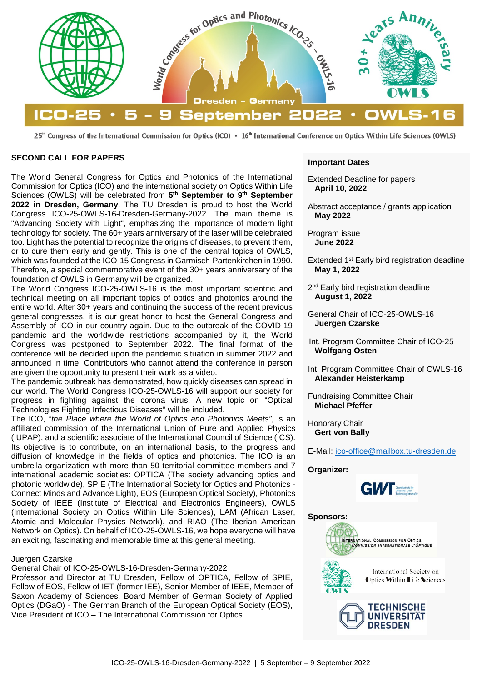

25<sup>th</sup> Congress of the International Commission for Optics (ICO) • 16<sup>th</sup> International Conference on Optics Within Life Sciences (OWLS)

### **SECOND CALL FOR PAPERS**

The World General Congress for Optics and Photonics of the International Commission for Optics (ICO) and the international society on Optics Within Life Sciences (OWLS) will be celebrated from **5th September to 9th September 2022 in Dresden, Germany**. The TU Dresden is proud to host the World Congress ICO-25-OWLS-16-Dresden-Germany-2022. The main theme is "Advancing Society with Light", emphasizing the importance of modern light technology for society. The 60+ years anniversary of the laser will be celebrated too. Light has the potential to recognize the origins of diseases, to prevent them, or to cure them early and gently. This is one of the central topics of OWLS, which was founded at the ICO-15 Congress in Garmisch-Partenkirchen in 1990. Therefore, a special commemorative event of the 30+ years anniversary of the foundation of OWLS in Germany will be organized.

The World Congress ICO-25-OWLS-16 is the most important scientific and technical meeting on all important topics of optics and photonics around the entire world. After 30+ years and continuing the success of the recent previous general congresses, it is our great honor to host the General Congress and Assembly of ICO in our country again. Due to the outbreak of the COVID-19 pandemic and the worldwide restrictions accompanied by it, the World Congress was postponed to September 2022. The final format of the conference will be decided upon the pandemic situation in summer 2022 and announced in time. Contributors who cannot attend the conference in person are given the opportunity to present their work as a video.

The pandemic outbreak has demonstrated, how quickly diseases can spread in our world. The World Congress ICO-25-OWLS-16 will support our society for progress in fighting against the corona virus. A new topic on "Optical Technologies Fighting Infectious Diseases" will be included.

The ICO, *"the Place where the World of Optics and Photonics Meets"*, is an affiliated commission of the International Union of Pure and Applied Physics (IUPAP), and a scientific associate of the International Council of Science (ICS). Its objective is to contribute, on an international basis, to the progress and diffusion of knowledge in the fields of optics and photonics. The ICO is an umbrella organization with more than 50 territorial committee members and 7 international academic societies: OPTICA (The society advancing optics and photonic worldwide), SPIE (The International Society for Optics and Photonics - Connect Minds and Advance Light), EOS (European Optical Society), Photonics Society of IEEE (Institute of Electrical and Electronics Engineers), OWLS (International Society on Optics Within Life Sciences), LAM (African Laser, Atomic and Molecular Physics Network), and RIAO (The Iberian American Network on Optics). On behalf of ICO-25-OWLS-16, we hope everyone will have an exciting, fascinating and memorable time at this general meeting.

#### Juergen Czarske

General Chair of ICO-25-OWLS-16-Dresden-Germany-2022

Professor and Director at TU Dresden, Fellow of OPTICA, Fellow of SPIE, Fellow of EOS, Fellow of IET (former IEE), Senior Member of IEEE, Member of Saxon Academy of Sciences, Board Member of German Society of Applied Optics (DGaO) - The German Branch of the European Optical Society (EOS), Vice President of ICO – The International Commission for Optics

#### **Important Dates**

Extended Deadline for papers **April 10, 2022**

Abstract acceptance / grants application **May 2022**

Program issue **June 2022**

Extended 1<sup>st</sup> Early bird registration deadline **May 1, 2022**

2<sup>nd</sup> Early bird registration deadline **August 1, 2022**

General Chair of ICO-25-OWLS-16 **Juergen Czarske**

Int. Program Committee Chair of ICO-25 **Wolfgang Osten**

Int. Program Committee Chair of OWLS-16 **Alexander Heisterkamp**

Fundraising Committee Chair **Michael Pfeffer**

Honorary Chair **Gert von Bally**

E-Mail: [ico-office@mailbox.tu-dresden.de](mailto:ico-office@mailbox.tu-dresden.de?subject=ICO25)

**Organizer:**



#### **Sponsors:**